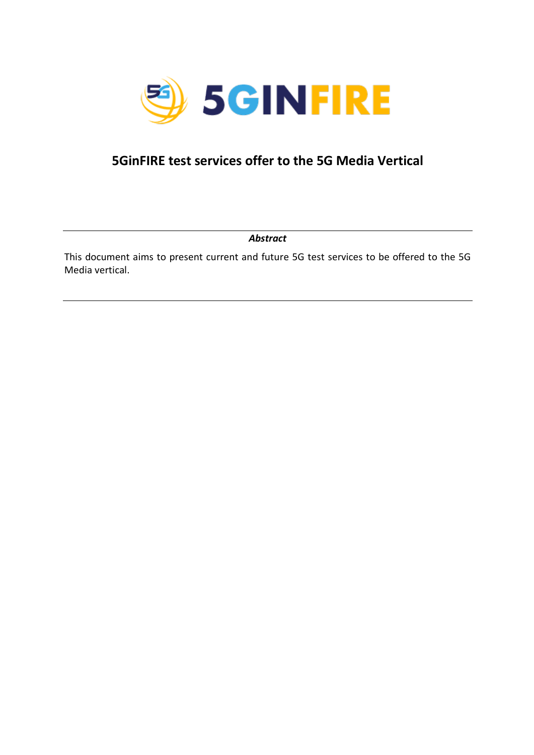

## **5GinFIRE test services offer to the 5G Media Vertical**

This document aims to present current and future 5G test services to be offered to the 5G Media vertical.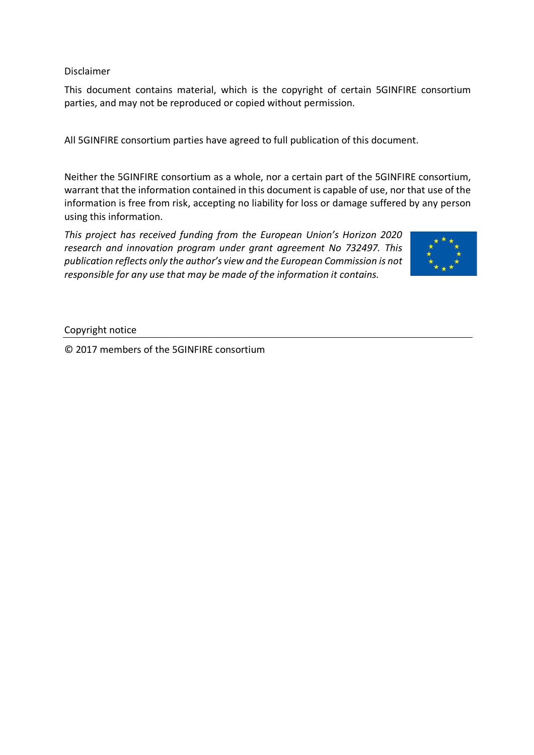Disclaimer

This document contains material, which is the copyright of certain 5GINFIRE consortium parties, and may not be reproduced or copied without permission.

All 5GINFIRE consortium parties have agreed to full publication of this document.

Neither the 5GINFIRE consortium as a whole, nor a certain part of the 5GINFIRE consortium, warrant that the information contained in this document is capable of use, nor that use of the information is free from risk, accepting no liability for loss or damage suffered by any person using this information.

*This project has received funding from the European Union's Horizon 2020 research and innovation program under grant agreement No 732497. This publication reflects only the author's view and the European Commission is not responsible for any use that may be made of the information it contains.*



Copyright notice

© 2017 members of the 5GINFIRE consortium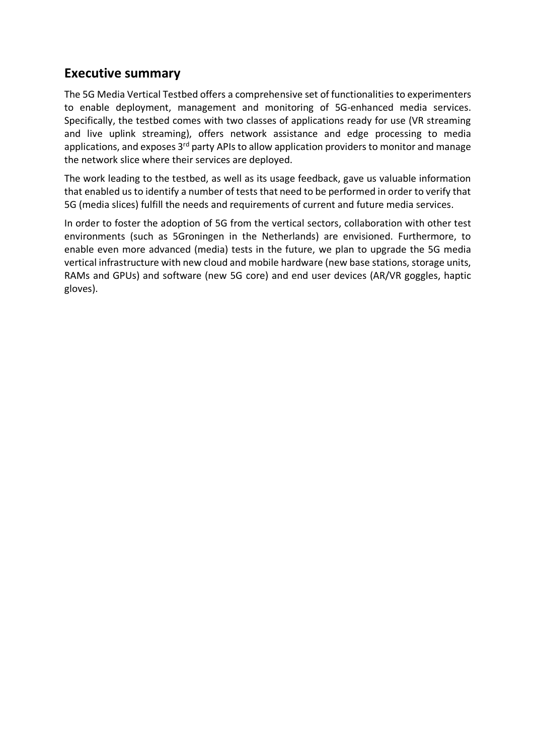#### **Executive summary**

The 5G Media Vertical Testbed offers a comprehensive set of functionalities to experimenters to enable deployment, management and monitoring of 5G-enhanced media services. Specifically, the testbed comes with two classes of applications ready for use (VR streaming and live uplink streaming), offers network assistance and edge processing to media applications, and exposes 3<sup>rd</sup> party APIs to allow application providers to monitor and manage the network slice where their services are deployed.

The work leading to the testbed, as well as its usage feedback, gave us valuable information that enabled us to identify a number of tests that need to be performed in order to verify that 5G (media slices) fulfill the needs and requirements of current and future media services.

In order to foster the adoption of 5G from the vertical sectors, collaboration with other test environments (such as 5Groningen in the Netherlands) are envisioned. Furthermore, to enable even more advanced (media) tests in the future, we plan to upgrade the 5G media vertical infrastructure with new cloud and mobile hardware (new base stations, storage units, RAMs and GPUs) and software (new 5G core) and end user devices (AR/VR goggles, haptic gloves).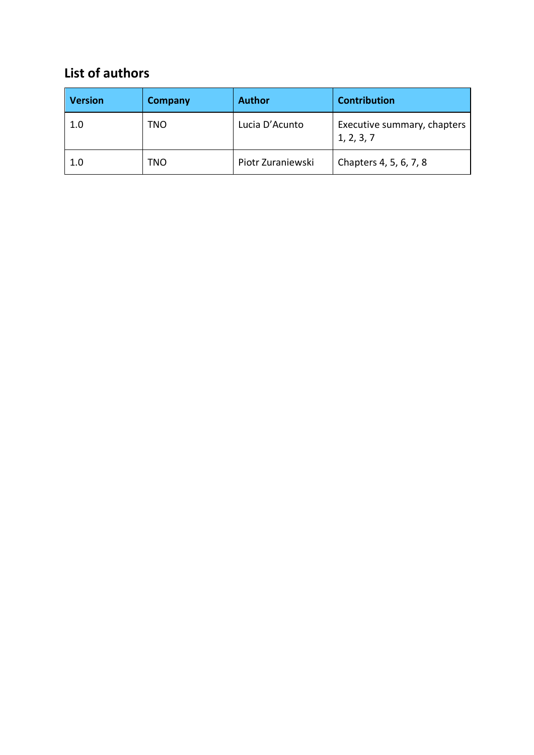# **List of authors**

| <b>Version</b> | <b>Company</b> | <b>Author</b>     | <b>Contribution</b>                       |
|----------------|----------------|-------------------|-------------------------------------------|
| 1.0            | TNO            | Lucia D'Acunto    | Executive summary, chapters<br>1, 2, 3, 7 |
| 1.0            | TNO            | Piotr Zuraniewski | Chapters 4, 5, 6, 7, 8                    |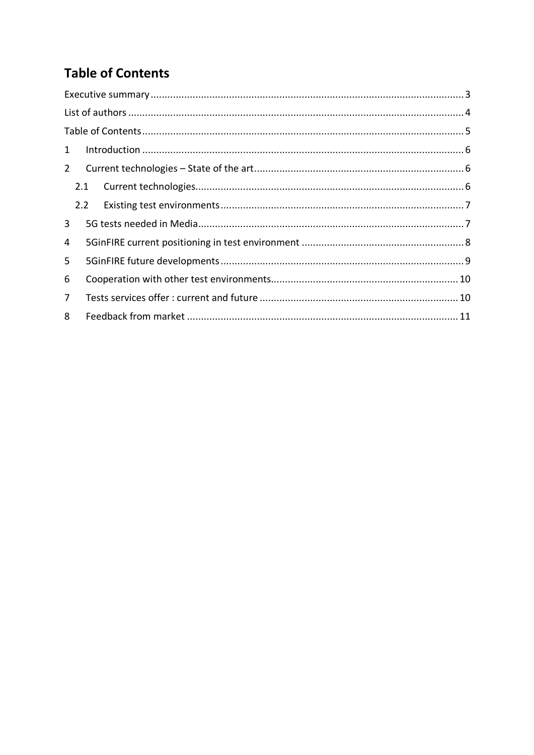# **Table of Contents**

| $\mathbf{1}$   |  |  |  |
|----------------|--|--|--|
| $2^{\circ}$    |  |  |  |
| 2.1            |  |  |  |
| $2.2^{\circ}$  |  |  |  |
| 3              |  |  |  |
| 4              |  |  |  |
| 5              |  |  |  |
| 6              |  |  |  |
| $\overline{7}$ |  |  |  |
| 8              |  |  |  |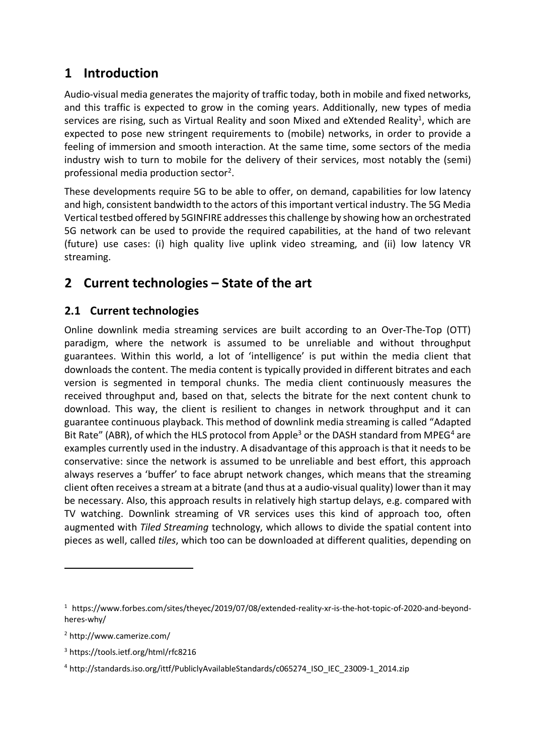### **1 Introduction**

Audio-visual media generates the majority of traffic today, both in mobile and fixed networks, and this traffic is expected to grow in the coming years. Additionally, new types of media services are rising, such as Virtual Reality and soon Mixed and eXtended Reality<sup>1</sup>, which are expected to pose new stringent requirements to (mobile) networks, in order to provide a feeling of immersion and smooth interaction. At the same time, some sectors of the media industry wish to turn to mobile for the delivery of their services, most notably the (semi) professional media production sector<sup>2</sup>.

These developments require 5G to be able to offer, on demand, capabilities for low latency and high, consistent bandwidth to the actors of this important vertical industry. The 5G Media Vertical testbed offered by 5GINFIRE addressesthis challenge by showing how an orchestrated 5G network can be used to provide the required capabilities, at the hand of two relevant (future) use cases: (i) high quality live uplink video streaming, and (ii) low latency VR streaming.

# **2 Current technologies – State of the art**

#### **2.1 Current technologies**

Online downlink media streaming services are built according to an Over-The-Top (OTT) paradigm, where the network is assumed to be unreliable and without throughput guarantees. Within this world, a lot of 'intelligence' is put within the media client that downloads the content. The media content is typically provided in different bitrates and each version is segmented in temporal chunks. The media client continuously measures the received throughput and, based on that, selects the bitrate for the next content chunk to download. This way, the client is resilient to changes in network throughput and it can guarantee continuous playback. This method of downlink media streaming is called "Adapted Bit Rate" (ABR), of which the HLS protocol from Apple<sup>3</sup> or the DASH standard from MPEG<sup>4</sup> are examples currently used in the industry. A disadvantage of this approach is that it needs to be conservative: since the network is assumed to be unreliable and best effort, this approach always reserves a 'buffer' to face abrupt network changes, which means that the streaming client often receives a stream at a bitrate (and thus at a audio-visual quality) lower than it may be necessary. Also, this approach results in relatively high startup delays, e.g. compared with TV watching. Downlink streaming of VR services uses this kind of approach too, often augmented with *Tiled Streaming* technology, which allows to divide the spatial content into pieces as well, called *tiles*, which too can be downloaded at different qualities, depending on

 $\overline{a}$ 

<sup>1</sup> https://www.forbes.com/sites/theyec/2019/07/08/extended-reality-xr-is-the-hot-topic-of-2020-and-beyondheres-why/

<sup>2</sup> http://www.camerize.com/

<sup>3</sup> https://tools.ietf.org/html/rfc8216

<sup>4</sup> http://standards.iso.org/ittf/PubliclyAvailableStandards/c065274\_ISO\_IEC\_23009-1\_2014.zip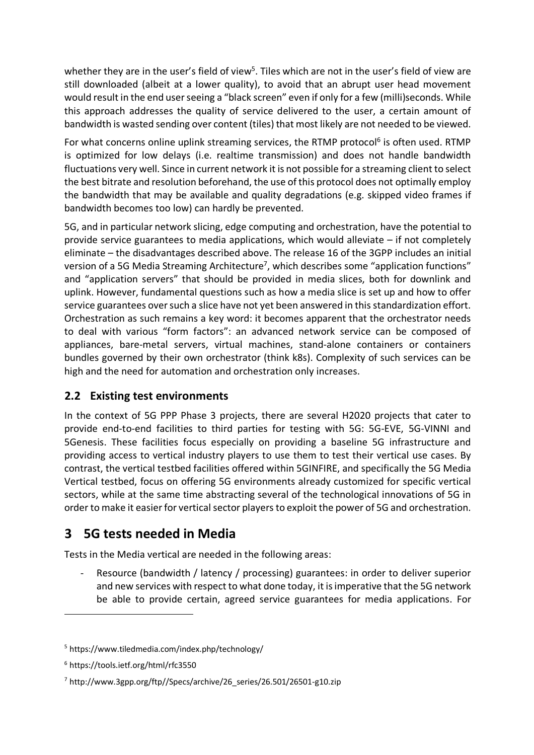whether they are in the user's field of view<sup>5</sup>. Tiles which are not in the user's field of view are still downloaded (albeit at a lower quality), to avoid that an abrupt user head movement would result in the end user seeing a "black screen" even if only for a few (milli)seconds. While this approach addresses the quality of service delivered to the user, a certain amount of bandwidth is wasted sending over content (tiles) that most likely are not needed to be viewed.

For what concerns online uplink streaming services, the RTMP protocol<sup>6</sup> is often used. RTMP is optimized for low delays (i.e. realtime transmission) and does not handle bandwidth fluctuations very well. Since in current network it is not possible for a streaming client to select the best bitrate and resolution beforehand, the use of this protocol does not optimally employ the bandwidth that may be available and quality degradations (e.g. skipped video frames if bandwidth becomes too low) can hardly be prevented.

5G, and in particular network slicing, edge computing and orchestration, have the potential to provide service guarantees to media applications, which would alleviate – if not completely eliminate – the disadvantages described above. The release 16 of the 3GPP includes an initial version of a 5G Media Streaming Architecture7, which describes some "application functions" and "application servers" that should be provided in media slices, both for downlink and uplink. However, fundamental questions such as how a media slice is set up and how to offer service guarantees over such a slice have not yet been answered in this standardization effort. Orchestration as such remains a key word: it becomes apparent that the orchestrator needs to deal with various "form factors": an advanced network service can be composed of appliances, bare-metal servers, virtual machines, stand-alone containers or containers bundles governed by their own orchestrator (think k8s). Complexity of such services can be high and the need for automation and orchestration only increases.

#### **2.2 Existing test environments**

In the context of 5G PPP Phase 3 projects, there are several H2020 projects that cater to provide end-to-end facilities to third parties for testing with 5G: 5G-EVE, 5G-VINNI and 5Genesis. These facilities focus especially on providing a baseline 5G infrastructure and providing access to vertical industry players to use them to test their vertical use cases. By contrast, the vertical testbed facilities offered within 5GINFIRE, and specifically the 5G Media Vertical testbed, focus on offering 5G environments already customized for specific vertical sectors, while at the same time abstracting several of the technological innovations of 5G in order to make it easier for vertical sector players to exploit the power of 5G and orchestration.

# **3 5G tests needed in Media**

Tests in the Media vertical are needed in the following areas:

Resource (bandwidth / latency / processing) guarantees: in order to deliver superior and new services with respect to what done today, it is imperative that the 5G network be able to provide certain, agreed service guarantees for media applications. For

 $\overline{a}$ 

<sup>5</sup> https://www.tiledmedia.com/index.php/technology/

<sup>6</sup> https://tools.ietf.org/html/rfc3550

<sup>7</sup> http://www.3gpp.org/ftp//Specs/archive/26\_series/26.501/26501-g10.zip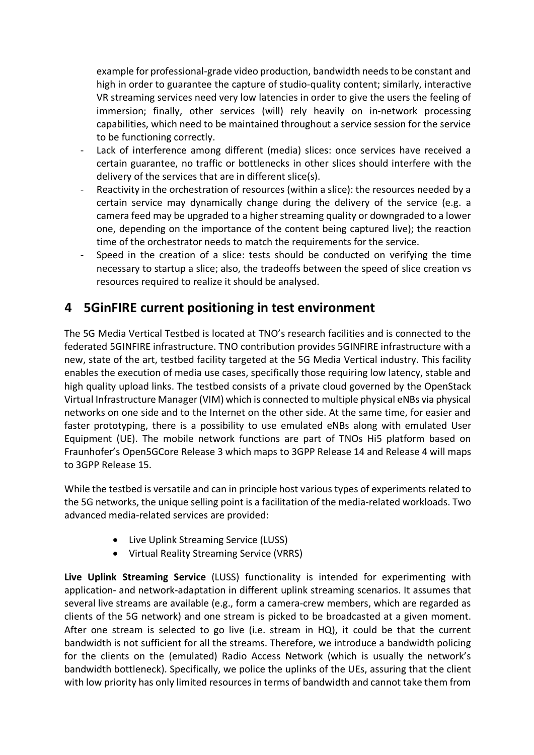example for professional-grade video production, bandwidth needs to be constant and high in order to guarantee the capture of studio-quality content; similarly, interactive VR streaming services need very low latencies in order to give the users the feeling of immersion; finally, other services (will) rely heavily on in-network processing capabilities, which need to be maintained throughout a service session for the service to be functioning correctly.

- Lack of interference among different (media) slices: once services have received a certain guarantee, no traffic or bottlenecks in other slices should interfere with the delivery of the services that are in different slice(s).
- Reactivity in the orchestration of resources (within a slice): the resources needed by a certain service may dynamically change during the delivery of the service (e.g. a camera feed may be upgraded to a higher streaming quality or downgraded to a lower one, depending on the importance of the content being captured live); the reaction time of the orchestrator needs to match the requirements for the service.
- Speed in the creation of a slice: tests should be conducted on verifying the time necessary to startup a slice; also, the tradeoffs between the speed of slice creation vs resources required to realize it should be analysed.

### **4 5GinFIRE current positioning in test environment**

The 5G Media Vertical Testbed is located at TNO's research facilities and is connected to the federated 5GINFIRE infrastructure. TNO contribution provides 5GINFIRE infrastructure with a new, state of the art, testbed facility targeted at the 5G Media Vertical industry. This facility enables the execution of media use cases, specifically those requiring low latency, stable and high quality upload links. The testbed consists of a private cloud governed by the OpenStack Virtual Infrastructure Manager (VIM) which is connected to multiple physical eNBs via physical networks on one side and to the Internet on the other side. At the same time, for easier and faster prototyping, there is a possibility to use emulated eNBs along with emulated User Equipment (UE). The mobile network functions are part of TNOs Hi5 platform based on Fraunhofer's Open5GCore Release 3 which maps to 3GPP Release 14 and Release 4 will maps to 3GPP Release 15.

While the testbed is versatile and can in principle host various types of experiments related to the 5G networks, the unique selling point is a facilitation of the media-related workloads. Two advanced media-related services are provided:

- Live Uplink Streaming Service (LUSS)
- Virtual Reality Streaming Service (VRRS)

**Live Uplink Streaming Service** (LUSS) functionality is intended for experimenting with application- and network-adaptation in different uplink streaming scenarios. It assumes that several live streams are available (e.g., form a camera-crew members, which are regarded as clients of the 5G network) and one stream is picked to be broadcasted at a given moment. After one stream is selected to go live (i.e. stream in HQ), it could be that the current bandwidth is not sufficient for all the streams. Therefore, we introduce a bandwidth policing for the clients on the (emulated) Radio Access Network (which is usually the network's bandwidth bottleneck). Specifically, we police the uplinks of the UEs, assuring that the client with low priority has only limited resources in terms of bandwidth and cannot take them from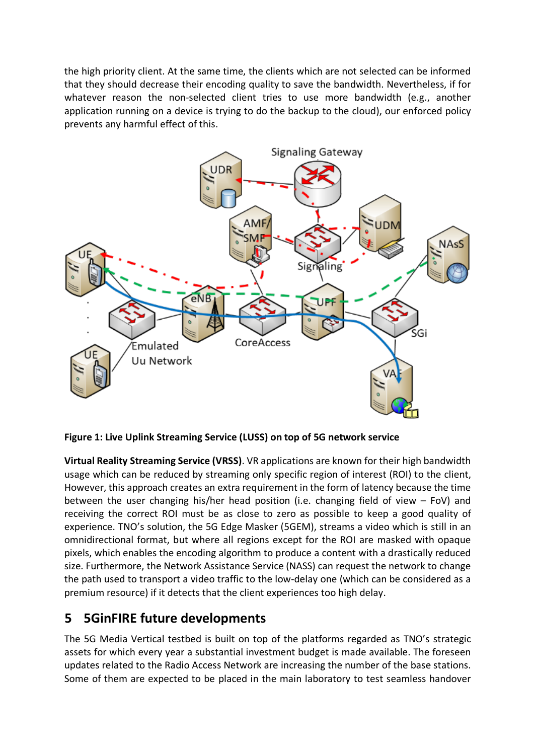the high priority client. At the same time, the clients which are not selected can be informed that they should decrease their encoding quality to save the bandwidth. Nevertheless, if for whatever reason the non-selected client tries to use more bandwidth (e.g., another application running on a device is trying to do the backup to the cloud), our enforced policy prevents any harmful effect of this.



**Figure 1: Live Uplink Streaming Service (LUSS) on top of 5G network service**

**Virtual Reality Streaming Service (VRSS)**. VR applications are known for their high bandwidth usage which can be reduced by streaming only specific region of interest (ROI) to the client, However, this approach creates an extra requirement in the form of latency because the time between the user changing his/her head position (i.e. changing field of view – FoV) and receiving the correct ROI must be as close to zero as possible to keep a good quality of experience. TNO's solution, the 5G Edge Masker (5GEM), streams a video which is still in an omnidirectional format, but where all regions except for the ROI are masked with opaque pixels, which enables the encoding algorithm to produce a content with a drastically reduced size. Furthermore, the Network Assistance Service (NASS) can request the network to change the path used to transport a video traffic to the low-delay one (which can be considered as a premium resource) if it detects that the client experiences too high delay.

### **5 5GinFIRE future developments**

The 5G Media Vertical testbed is built on top of the platforms regarded as TNO's strategic assets for which every year a substantial investment budget is made available. The foreseen updates related to the Radio Access Network are increasing the number of the base stations. Some of them are expected to be placed in the main laboratory to test seamless handover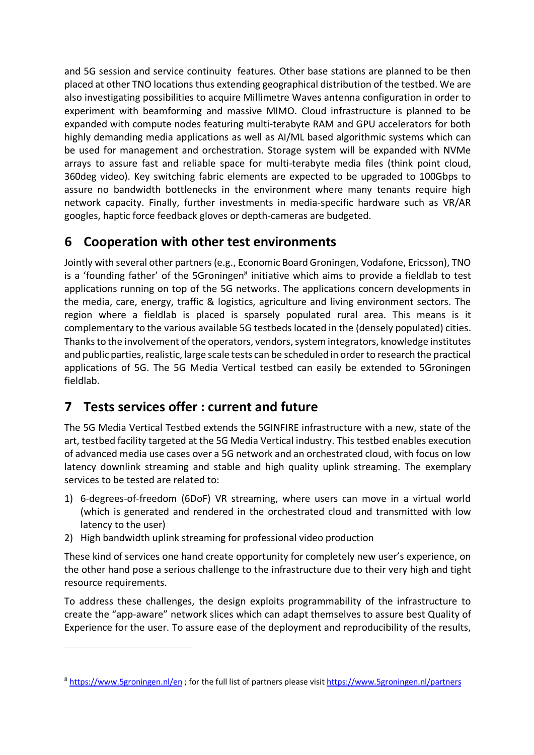and 5G session and service continuity features. Other base stations are planned to be then placed at other TNO locations thus extending geographical distribution of the testbed. We are also investigating possibilities to acquire Millimetre Waves antenna configuration in order to experiment with beamforming and massive MIMO. Cloud infrastructure is planned to be expanded with compute nodes featuring multi-terabyte RAM and GPU accelerators for both highly demanding media applications as well as AI/ML based algorithmic systems which can be used for management and orchestration. Storage system will be expanded with NVMe arrays to assure fast and reliable space for multi-terabyte media files (think point cloud, 360deg video). Key switching fabric elements are expected to be upgraded to 100Gbps to assure no bandwidth bottlenecks in the environment where many tenants require high network capacity. Finally, further investments in media-specific hardware such as VR/AR googles, haptic force feedback gloves or depth-cameras are budgeted.

# **6 Cooperation with other test environments**

Jointly with several other partners (e.g., Economic Board Groningen, Vodafone, Ericsson), TNO is a 'founding father' of the 5Groningen $8$  initiative which aims to provide a fieldlab to test applications running on top of the 5G networks. The applications concern developments in the media, care, energy, traffic & logistics, agriculture and living environment sectors. The region where a fieldlab is placed is sparsely populated rural area. This means is it complementary to the various available 5G testbeds located in the (densely populated) cities. Thanks to the involvement ofthe operators, vendors, system integrators, knowledge institutes and public parties, realistic, large scale tests can be scheduled in order to research the practical applications of 5G. The 5G Media Vertical testbed can easily be extended to 5Groningen fieldlab.

# **7 Tests services offer : current and future**

 $\overline{a}$ 

The 5G Media Vertical Testbed extends the 5GINFIRE infrastructure with a new, state of the art, testbed facility targeted at the 5G Media Vertical industry. This testbed enables execution of advanced media use cases over a 5G network and an orchestrated cloud, with focus on low latency downlink streaming and stable and high quality uplink streaming. The exemplary services to be tested are related to:

- 1) 6-degrees-of-freedom (6DoF) VR streaming, where users can move in a virtual world (which is generated and rendered in the orchestrated cloud and transmitted with low latency to the user)
- 2) High bandwidth uplink streaming for professional video production

These kind of services one hand create opportunity for completely new user's experience, on the other hand pose a serious challenge to the infrastructure due to their very high and tight resource requirements.

To address these challenges, the design exploits programmability of the infrastructure to create the "app-aware" network slices which can adapt themselves to assure best Quality of Experience for the user. To assure ease of the deployment and reproducibility of the results,

<sup>8</sup> https://www.5groningen.nl/en ; for the full list of partners please visit https://www.5groningen.nl/partners